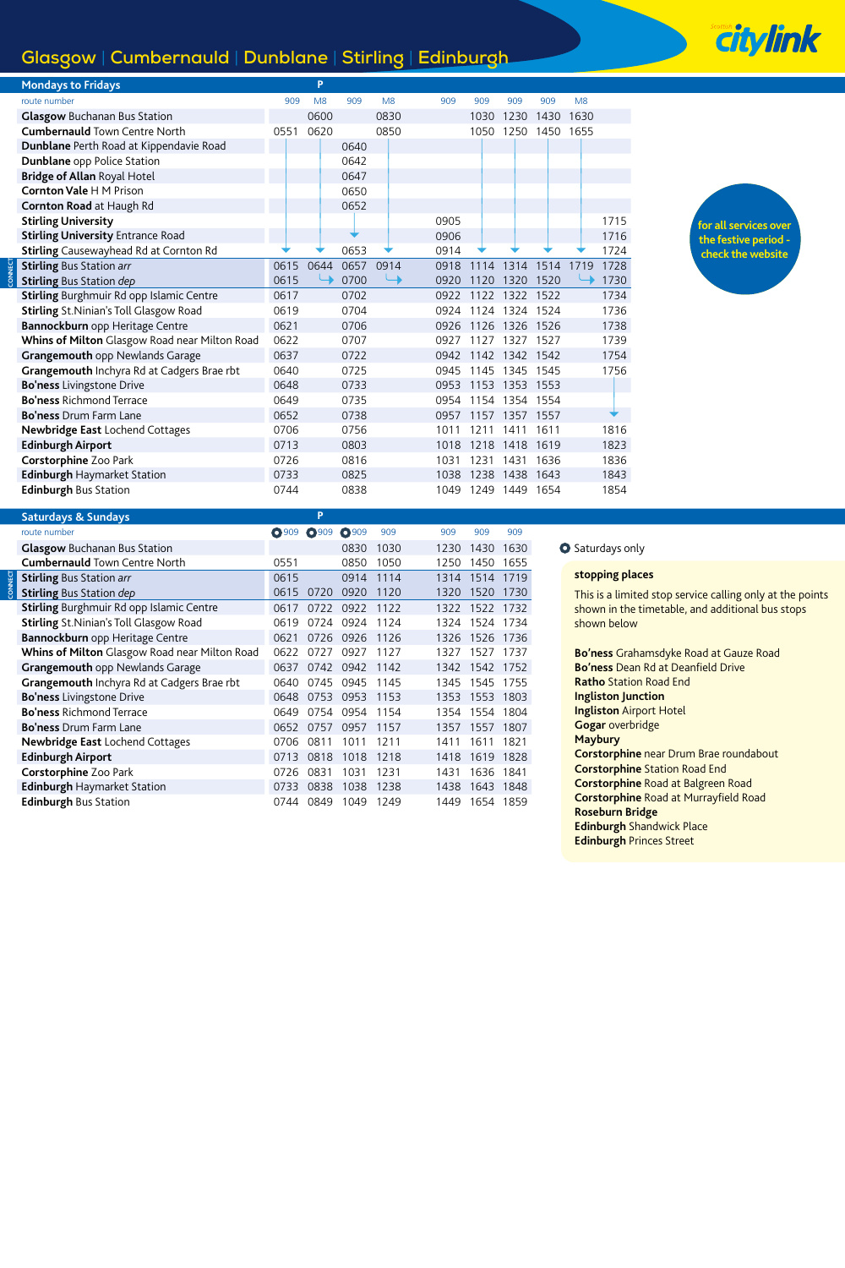# **Glasgow** | **Cumbernauld** | **Dunblane** | **Stirling** | **Edinburgh**

| <b>Mondays to Fridays</b>                      |      | P              |      |      |      |      |                |      |      |      |
|------------------------------------------------|------|----------------|------|------|------|------|----------------|------|------|------|
| route number                                   | 909  | M <sub>8</sub> | 909  | M8   | 909  | 909  | 909            | 909  | M8   |      |
| <b>Glasgow Buchanan Bus Station</b>            |      | 0600           |      | 0830 |      | 1030 | 1230           | 1430 | 1630 |      |
| <b>Cumbernauld Town Centre North</b>           | 0551 | 0620           |      | 0850 |      | 1050 | 1250 1450 1655 |      |      |      |
| Dunblane Perth Road at Kippendavie Road        |      |                | 0640 |      |      |      |                |      |      |      |
| Dunblane opp Police Station                    |      |                | 0642 |      |      |      |                |      |      |      |
| <b>Bridge of Allan Royal Hotel</b>             |      |                | 0647 |      |      |      |                |      |      |      |
| <b>Cornton Vale H M Prison</b>                 |      |                | 0650 |      |      |      |                |      |      |      |
| Cornton Road at Haugh Rd                       |      |                | 0652 |      |      |      |                |      |      |      |
| <b>Stirling University</b>                     |      |                |      |      | 0905 |      |                |      |      | 1715 |
| <b>Stirling University Entrance Road</b>       |      |                |      |      | 0906 |      |                |      |      | 1716 |
| <b>Stirling</b> Causewayhead Rd at Cornton Rd  |      |                | 0653 |      | 0914 |      |                |      |      | 1724 |
| <b>Stirling Bus Station arr</b>                | 0615 | 0644           | 0657 | 0914 | 0918 | 1114 | 1314           | 1514 | 1719 | 1728 |
| <b>Stirling Bus Station dep</b>                | 0615 |                | 0700 |      | 0920 | 1120 | 1320           | 1520 |      | 1730 |
| Stirling Burghmuir Rd opp Islamic Centre       | 0617 |                | 0702 |      | 0922 |      | 1122 1322 1522 |      |      | 1734 |
| <b>Stirling St. Ninian's Toll Glasgow Road</b> | 0619 |                | 0704 |      | 0924 | 1124 | 1324           | 1524 |      | 1736 |
| Bannockburn opp Heritage Centre                | 0621 |                | 0706 |      | 0926 | 1126 | 1326           | 1526 |      | 1738 |
| Whins of Milton Glasgow Road near Milton Road  | 0622 |                | 0707 |      | 0927 | 1127 | 1327           | 1527 |      | 1739 |
| Grangemouth opp Newlands Garage                | 0637 |                | 0722 |      | 0942 | 1142 | 1342           | 1542 |      | 1754 |
| Grangemouth Inchyra Rd at Cadgers Brae rbt     | 0640 |                | 0725 |      | 0945 | 1145 | 1345           | 1545 |      | 1756 |
| <b>Bo'ness</b> Livingstone Drive               | 0648 |                | 0733 |      | 0953 | 1153 | 1353           | 1553 |      |      |
| <b>Bo'ness Richmond Terrace</b>                | 0649 |                | 0735 |      | 0954 | 1154 | 1354           | 1554 |      |      |
| <b>Bo'ness</b> Drum Farm Lane                  | 0652 |                | 0738 |      | 0957 | 1157 | 1357           | 1557 |      |      |
| Newbridge East Lochend Cottages                | 0706 |                | 0756 |      | 1011 | 1211 | 1411           | 1611 |      | 1816 |
| <b>Edinburgh Airport</b>                       | 0713 |                | 0803 |      | 1018 | 1218 | 1418           | 1619 |      | 1823 |
| Corstorphine Zoo Park                          | 0726 |                | 0816 |      | 1031 | 1231 | 1431           | 1636 |      | 1836 |
| <b>Edinburgh Haymarket Station</b>             | 0733 |                | 0825 |      | 1038 | 1238 | 1438           | 1643 |      | 1843 |
| <b>Edinburgh Bus Station</b>                   | 0744 |                | 0838 |      | 1049 | 1249 | 1449           | 1654 |      | 1854 |

| <b>Saturdays &amp; Sundays</b>                |         | P            |              |      |      |                |           |
|-----------------------------------------------|---------|--------------|--------------|------|------|----------------|-----------|
| route number                                  | $O$ 909 | <b>O</b> 909 | <b>Q</b> 909 | 909  | 909  | 909            | 909       |
| <b>Glasgow Buchanan Bus Station</b>           |         |              | 0830         | 1030 | 1230 | 1430           | 1630      |
| <b>Cumbernauld Town Centre North</b>          | 0551    |              | 0850         | 1050 | 1250 | 1450           | 1655      |
| <b>Stirling Bus Station arr</b>               | 0615    |              | 0914         | 1114 | 1314 | 1514           | 1719      |
| <b>Stirling Bus Station dep</b>               | 0615    | 0720         | 0920         | 1120 | 1320 | 1520           | 1730      |
| Stirling Burghmuir Rd opp Islamic Centre      | 0617    | 0722         | 0922         | 1122 | 1322 | 1522 1732      |           |
| Stirling St. Ninian's Toll Glasgow Road       | 0619    | 0724         | 0924         | 1124 |      | 1324 1524 1734 |           |
| Bannockburn opp Heritage Centre               | 0621    | 0726         | 0926         | 1126 | 1326 | 1526           | 1736      |
| Whins of Milton Glasgow Road near Milton Road | 0622    | 0727         | 0927         | 1127 | 1327 | 1527           | 1737      |
| Grangemouth opp Newlands Garage               | 0637    | 0742         | 0942         | 1142 | 1342 | 1542 1752      |           |
| Grangemouth Inchyra Rd at Cadgers Brae rbt    | 0640    | 0745         | 0945         | 1145 | 1345 | 1545           | 1755      |
| <b>Bo'ness</b> Livingstone Drive              | 0648    | 0753         | 0953         | 1153 | 1353 |                | 1553 1803 |
| <b>Bo'ness Richmond Terrace</b>               | 0649    | 0754         | 0954         | 1154 | 1354 | 1554           | 1804      |
| <b>Bo'ness</b> Drum Farm Lane                 | 0652    | 0757         | 0957         | 1157 | 1357 | 1557           | 1807      |
| <b>Newbridge East Lochend Cottages</b>        | 0706    | 0811         | 1011         | 1211 | 1411 | 1611           | 1821      |
| <b>Edinburgh Airport</b>                      | 0713    | 0818         | 1018         | 1218 | 1418 | 1619           | 1828      |
| Corstorphine Zoo Park                         | 0726    | 0831         | 1031         | 1231 | 1431 | 1636           | 1841      |
| <b>Edinburgh Haymarket Station</b>            | 0733    | 0838         | 1038         | 1238 | 1438 | 1643           | 1848      |
| <b>Edinburgh Bus Station</b>                  | 0744    | 0849         | 1049         | 1249 | 1449 | 1654           | 1859      |

**CONNECT**

**CONNECT**

**O** Saturdays only

### **stopping places**

This is a limited stop service calling only at the points shown in the timetable, and additional bus stops shown below

**Bo'ness** Grahamsdyke Road at Gauze Road **Bo'ness** Dean Rd at Deanfield Drive **Ratho** Station Road End **Ingliston Junction Ingliston** Airport Hotel **Gogar** overbridge **Maybury Corstorphine** near Drum Brae roundabout **Corstorphine** Station Road End **Corstorphine** Road at Balgreen Road **Corstorphine** Road at Murrayfield Road **Roseburn Bridge Edinburgh** Shandwick Place **Edinburgh** Princes Street